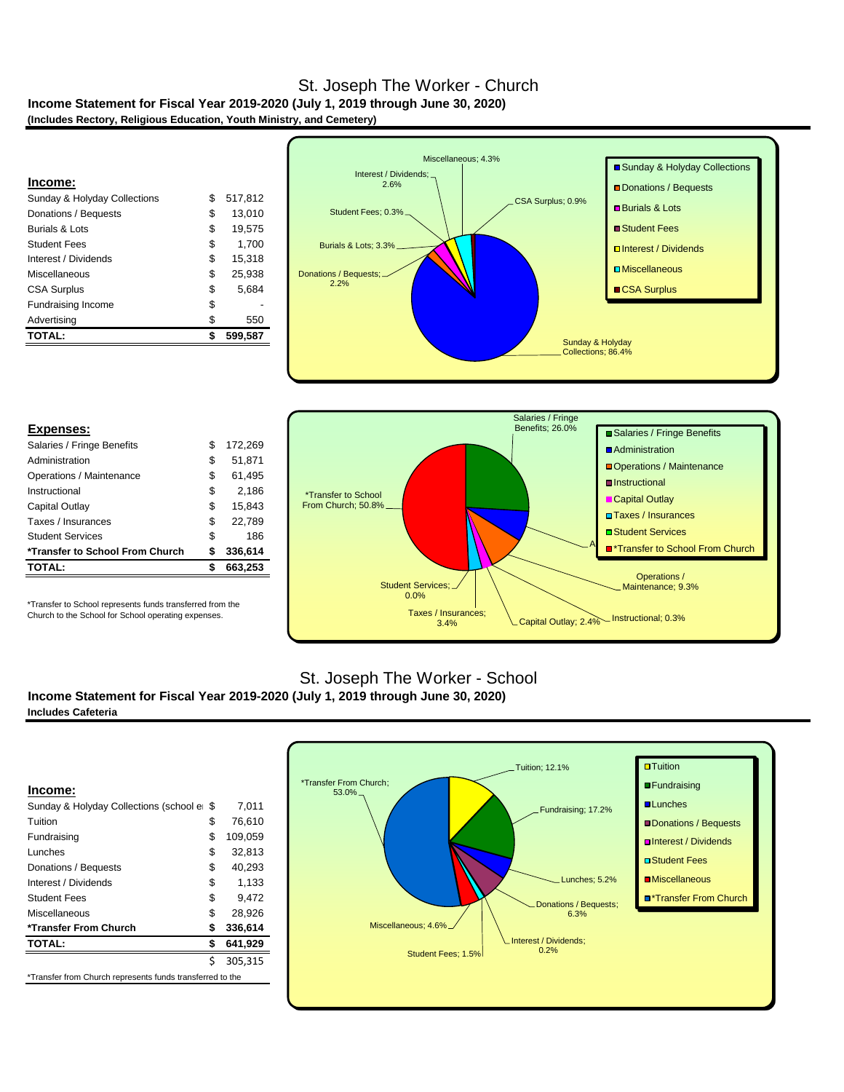### **Income Statement for Fiscal Year 2019-2020 (July 1, 2019 through June 30, 2020) (Includes Rectory, Religious Education, Youth Ministry, and Cemetery)** St. Joseph The Worker - Church

| <b>TOTAL:</b>                           | \$<br>599,587 |
|-----------------------------------------|---------------|
|                                         |               |
| Advertising                             | \$<br>550     |
| <b>Fundraising Income</b>               | \$            |
| <b>CSA Surplus</b>                      | \$<br>5.684   |
| Miscellaneous                           | \$<br>25.938  |
| Interest / Dividends                    | \$<br>15,318  |
| <b>Student Fees</b>                     | \$<br>1.700   |
| Burials & Lots                          | \$<br>19.575  |
| Donations / Bequests                    | \$<br>13.010  |
| <b>Sunday &amp; Holyday Collections</b> | \$<br>517.812 |
| Income:                                 |               |
|                                         |               |



|  | <b>Expenses:</b> |  |  |  |
|--|------------------|--|--|--|
|  |                  |  |  |  |

| Salaries / Fringe Benefits      | S  | 172,269 |
|---------------------------------|----|---------|
| Administration                  | S  | 51,871  |
| Operations / Maintenance        | S  | 61,495  |
| Instructional                   | \$ | 2,186   |
| Capital Outlay                  | \$ | 15.843  |
| Taxes / Insurances              | \$ | 22,789  |
| <b>Student Services</b>         | \$ | 186     |
| *Transfer to School From Church | S  | 336,614 |
| <b>TOTAL:</b>                   |    | 663,253 |
|                                 |    |         |

\*Transfer to School represents funds transferred from the Church to the School for School operating expenses.



# St. Joseph The Worker - School

**Income Statement for Fiscal Year 2019-2020 (July 1, 2019 through June 30, 2020) Includes Cafeteria**

|                                         | Ś   | 305.315 |
|-----------------------------------------|-----|---------|
| <b>TOTAL:</b>                           | \$  | 641,929 |
| *Transfer From Church                   | \$  | 336,614 |
| Miscellaneous                           | \$  | 28,926  |
| <b>Student Fees</b>                     | \$  | 9,472   |
| Interest / Dividends                    | \$  | 1.133   |
| Donations / Bequests                    | \$  | 40,293  |
| <b>Lunches</b>                          | \$  | 32,813  |
| Fundraising                             | \$  | 109,059 |
| Tuition                                 | \$  | 76,610  |
| Sunday & Holyday Collections (school er | -96 | 7.011   |
| Income:                                 |     |         |

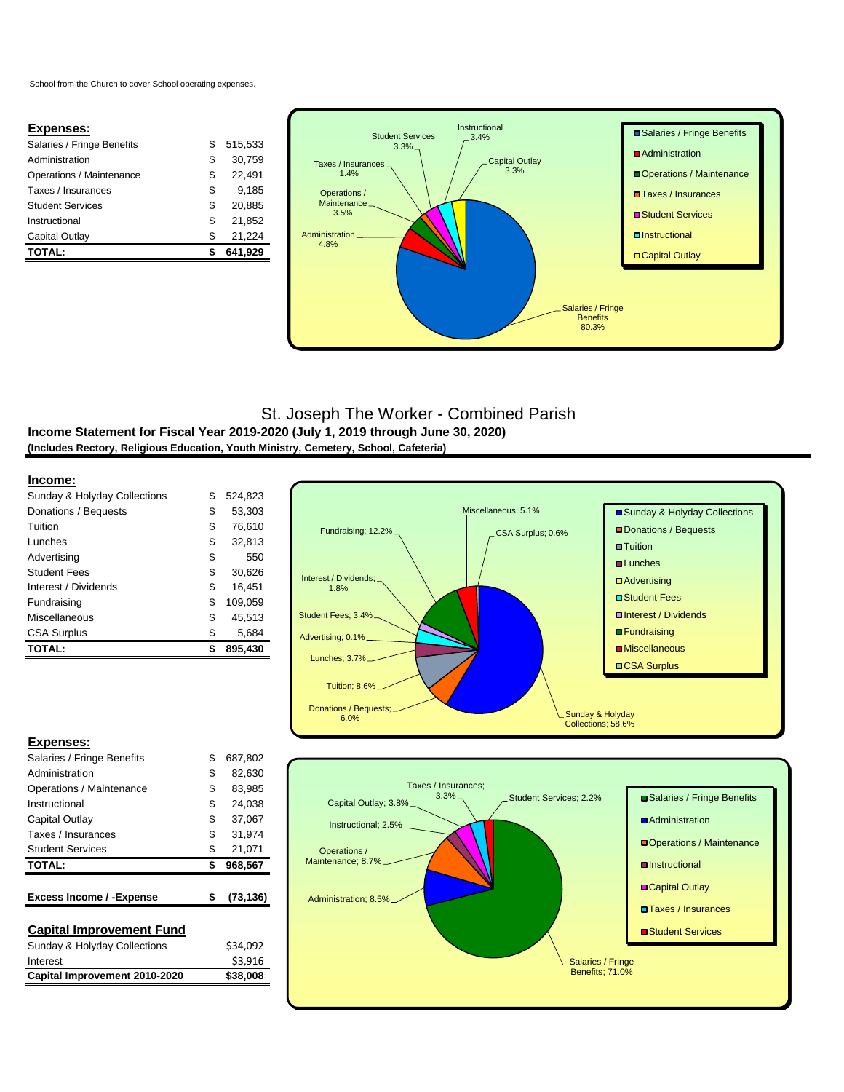School from the Church to cover School operating expenses.

### **Expenses:**

| <b>TOTAL:</b>              |    | 641.929 |
|----------------------------|----|---------|
| Capital Outlay             | S  | 21.224  |
| Instructional              | \$ | 21.852  |
| <b>Student Services</b>    | S  | 20.885  |
| Taxes / Insurances         | S  | 9.185   |
| Operations / Maintenance   | S  | 22.491  |
| Administration             | S  | 30.759  |
| Salaries / Fringe Benefits | S  | 515.533 |
|                            |    |         |



# St. Joseph The Worker - Combined Parish

**Income Statement for Fiscal Year 2019-2020 (July 1, 2019 through June 30, 2020) (Includes Rectory, Religious Education, Youth Ministry, Cemetery, School, Cafeteria)**

#### **Income:**

| <b>TOTAL:</b>                | \$<br>895,430 |
|------------------------------|---------------|
| <b>CSA Surplus</b>           | \$<br>5,684   |
| Miscellaneous                | \$<br>45.513  |
| Fundraising                  | \$<br>109,059 |
| Interest / Dividends         | \$<br>16.451  |
| <b>Student Fees</b>          | \$<br>30.626  |
| Advertising                  | \$<br>550     |
| Lunches                      | \$<br>32,813  |
| Tuition                      | \$<br>76.610  |
| Donations / Bequests         | \$<br>53,303  |
| Sunday & Holyday Collections | \$<br>524.823 |
|                              |               |



#### **Expenses:**

| Salaries / Fringe Benefits              | \$<br>687.802   |
|-----------------------------------------|-----------------|
| Administration                          | \$<br>82.630    |
| Operations / Maintenance                | \$<br>83,985    |
| Instructional                           | \$<br>24.038    |
| Capital Outlay                          | \$<br>37,067    |
| Taxes / Insurances                      | \$<br>31.974    |
| <b>Student Services</b>                 | \$<br>21,071    |
| <b>TOTAL:</b>                           | \$<br>968,567   |
|                                         |                 |
| <b>Excess Income / - Expense</b>        | \$<br>(73, 136) |
|                                         |                 |
| <b>Capital Improvement Fund</b>         |                 |
| <b>Sunday &amp; Holyday Collections</b> | \$34,092        |
| Interest                                | \$3,916         |
| Capital Improvement 2010-2020           | \$38,008        |